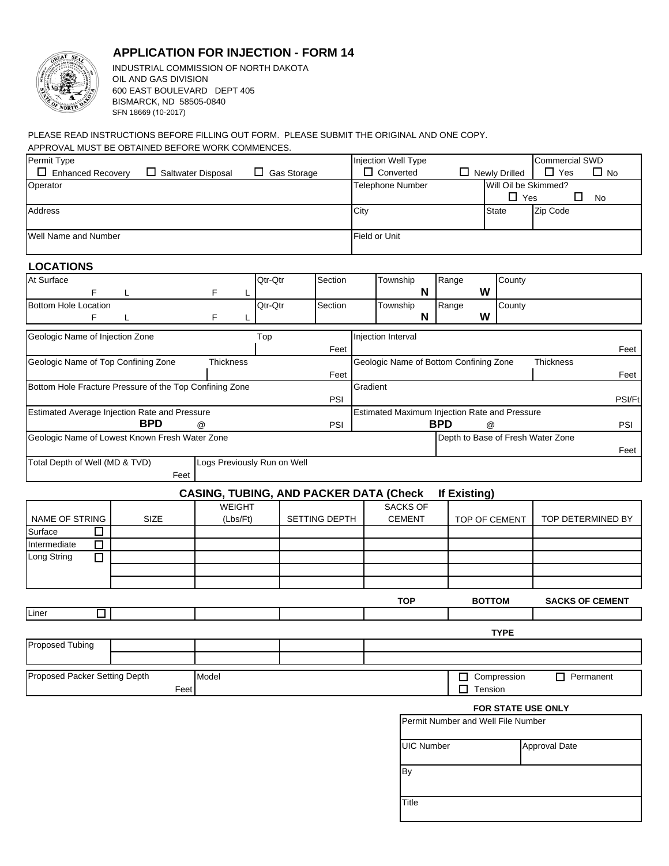

## **APPLICATION FOR INJECTION - FORM 14**

INDUSTRIAL COMMISSION OF NORTH DAKOTA OIL AND GAS DIVISION 600 EAST BOULEVARD DEPT 405 BISMARCK, ND 58505-0840 SFN 18669 (10-2017)

## APPROVAL MUST BE OBTAINED BEFORE WORK COMMENCES. PLEASE READ INSTRUCTIONS BEFORE FILLING OUT FORM. PLEASE SUBMIT THE ORIGINAL AND ONE COPY.

| Permit Type                                                                        |                    |                                               |         |             |                  |          | Injection Well Type |                   |                                        |                      |                                               | <b>Commercial SWD</b>             |                        |
|------------------------------------------------------------------------------------|--------------------|-----------------------------------------------|---------|-------------|------------------|----------|---------------------|-------------------|----------------------------------------|----------------------|-----------------------------------------------|-----------------------------------|------------------------|
| Enhanced Recovery                                                                  | Saltwater Disposal |                                               | $\Box$  | Gas Storage |                  |          | $\Box$ Converted    |                   |                                        |                      | $\Box$ Newly Drilled                          | $\Box$ Yes                        | $\square$ No           |
| Operator                                                                           |                    |                                               |         |             | Telephone Number |          |                     |                   |                                        | Will Oil be Skimmed? |                                               |                                   |                        |
|                                                                                    |                    |                                               |         |             |                  |          |                     |                   |                                        |                      | $\Box$ Yes                                    | □                                 | No                     |
| Address                                                                            |                    |                                               |         |             |                  | City     |                     |                   |                                        |                      | <b>State</b>                                  | Zip Code                          |                        |
| Well Name and Number                                                               |                    |                                               |         |             | Field or Unit    |          |                     |                   |                                        |                      |                                               |                                   |                        |
| <b>LOCATIONS</b>                                                                   |                    |                                               |         |             |                  |          |                     |                   |                                        |                      |                                               |                                   |                        |
| At Surface                                                                         |                    |                                               | Qtr-Qtr |             | Section          |          | Township            |                   | Range                                  |                      | County                                        |                                   |                        |
| F                                                                                  |                    | F                                             |         |             |                  |          |                     | N                 |                                        | W                    |                                               |                                   |                        |
| <b>Bottom Hole Location</b>                                                        |                    |                                               | Qtr-Qtr |             | Section          |          | Township            |                   | Range                                  |                      | County                                        |                                   |                        |
| F                                                                                  | L                  | F                                             |         |             |                  |          |                     | N                 |                                        | W                    |                                               |                                   |                        |
| Geologic Name of Injection Zone                                                    |                    |                                               | Top     |             |                  |          | Injection Interval  |                   |                                        |                      |                                               |                                   |                        |
|                                                                                    |                    |                                               |         |             | Feet             |          |                     |                   |                                        |                      |                                               |                                   | Feet                   |
| Geologic Name of Top Confining Zone                                                |                    | Thickness                                     |         |             |                  |          |                     |                   | Geologic Name of Bottom Confining Zone |                      |                                               | Thickness                         |                        |
|                                                                                    |                    |                                               |         |             | Feet             |          |                     |                   |                                        |                      |                                               |                                   | Feet                   |
| Bottom Hole Fracture Pressure of the Top Confining Zone                            |                    |                                               |         |             | PSI              | Gradient |                     |                   |                                        |                      |                                               |                                   | PSI/Ft                 |
| Estimated Average Injection Rate and Pressure                                      |                    |                                               |         |             |                  |          |                     |                   |                                        |                      | Estimated Maximum Injection Rate and Pressure |                                   |                        |
|                                                                                    | <b>BPD</b>         | $^{\circledR}$                                |         |             | PSI              |          |                     |                   | <b>BPD</b>                             | $^{\circledR}$       |                                               |                                   | PSI                    |
| Geologic Name of Lowest Known Fresh Water Zone                                     |                    |                                               |         |             |                  |          |                     |                   |                                        |                      |                                               | Depth to Base of Fresh Water Zone | Feet                   |
| Total Depth of Well (MD & TVD)                                                     |                    | Logs Previously Run on Well                   |         |             |                  |          |                     |                   |                                        |                      |                                               |                                   |                        |
|                                                                                    | Feet               |                                               |         |             |                  |          |                     |                   |                                        |                      |                                               |                                   |                        |
|                                                                                    |                    | <b>CASING, TUBING, AND PACKER DATA (Check</b> |         |             |                  |          |                     |                   | If Existing)                           |                      |                                               |                                   |                        |
|                                                                                    |                    | <b>WEIGHT</b>                                 |         |             |                  |          |                     | <b>SACKS OF</b>   |                                        |                      |                                               |                                   |                        |
| NAME OF STRING                                                                     | <b>SIZE</b>        | (Lbs/Ft)                                      |         |             | SETTING DEPTH    |          |                     | <b>CEMENT</b>     |                                        |                      | TOP OF CEMENT                                 |                                   | TOP DETERMINED BY      |
| Surface<br>ப                                                                       |                    |                                               |         |             |                  |          |                     |                   |                                        |                      |                                               |                                   |                        |
| □<br>Intermediate                                                                  |                    |                                               |         |             |                  |          |                     |                   |                                        |                      |                                               |                                   |                        |
| Long String<br>$\Box$                                                              |                    |                                               |         |             |                  |          |                     |                   |                                        |                      |                                               |                                   |                        |
|                                                                                    |                    |                                               |         |             |                  |          |                     |                   |                                        |                      |                                               |                                   |                        |
|                                                                                    |                    |                                               |         |             |                  |          |                     |                   |                                        |                      |                                               |                                   |                        |
|                                                                                    |                    |                                               |         |             |                  |          |                     | <b>TOP</b>        |                                        | <b>BOTTOM</b>        |                                               |                                   | <b>SACKS OF CEMENT</b> |
| Liner<br>$\mathcal{L}$                                                             |                    |                                               |         |             |                  |          |                     |                   |                                        |                      |                                               |                                   |                        |
|                                                                                    |                    |                                               |         |             |                  |          |                     |                   |                                        |                      | <b>TYPE</b>                                   |                                   |                        |
| Proposed Tubing                                                                    |                    |                                               |         |             |                  |          |                     |                   |                                        |                      |                                               |                                   |                        |
|                                                                                    |                    |                                               |         |             |                  |          |                     |                   |                                        |                      |                                               |                                   |                        |
| Proposed Packer Setting Depth<br>Compression<br>Model<br>П<br>Tension<br>Feet<br>П |                    |                                               |         |             | $\Box$ Permanent |          |                     |                   |                                        |                      |                                               |                                   |                        |
|                                                                                    |                    |                                               |         |             |                  |          |                     |                   |                                        |                      |                                               | FOR STATE USE ONLY                |                        |
|                                                                                    |                    |                                               |         |             |                  |          |                     |                   |                                        |                      | Permit Number and Well File Number            |                                   |                        |
|                                                                                    |                    |                                               |         |             |                  |          |                     |                   |                                        |                      |                                               |                                   |                        |
|                                                                                    |                    |                                               |         |             |                  |          |                     | <b>UIC Number</b> |                                        |                      |                                               | Approval Date                     |                        |

| <b>UIC Number</b> | Approval Date |
|-------------------|---------------|
| By                |               |
| Title             |               |

By